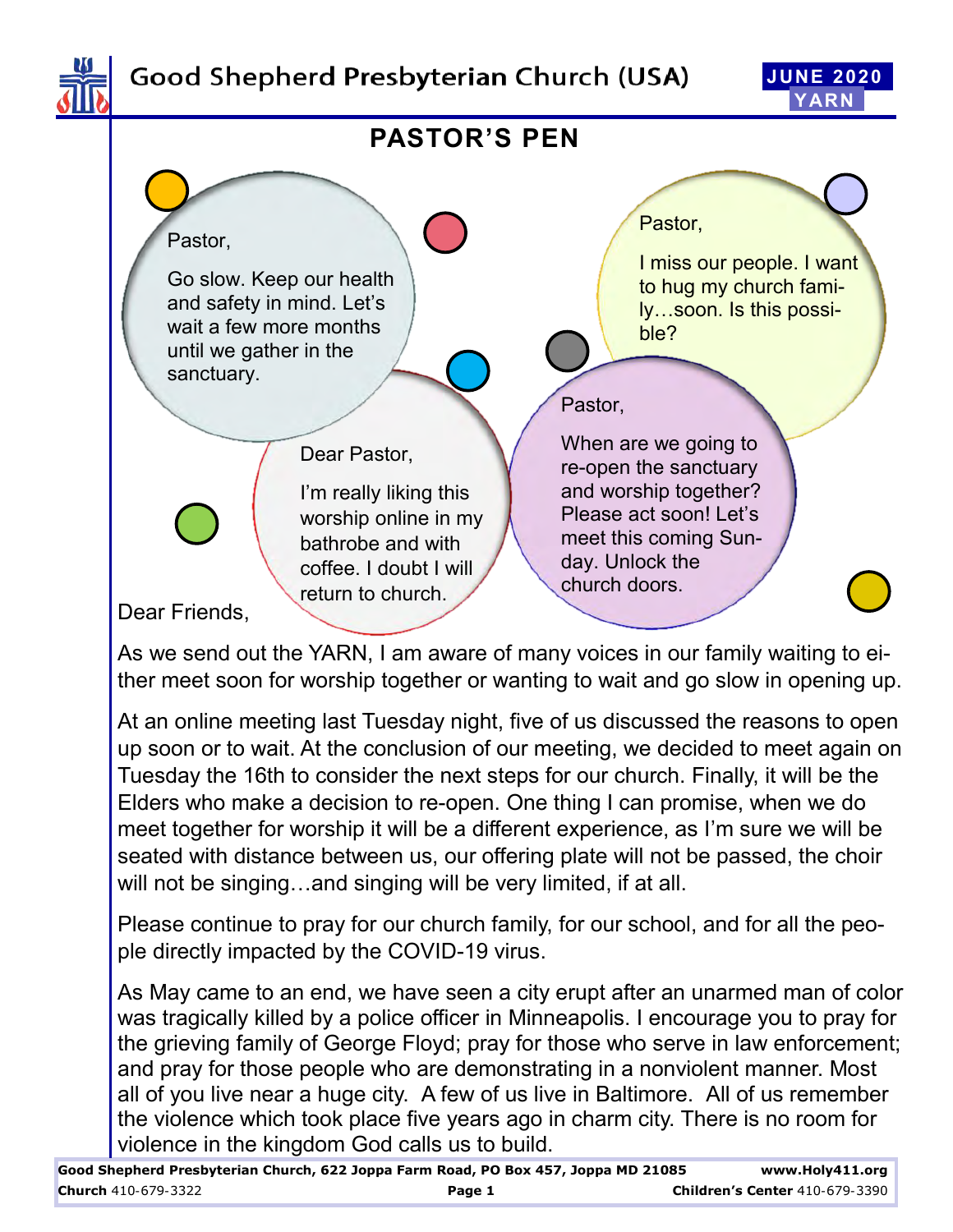

# Good Shepherd Presbyterian Church (USA)





As we send out the YARN, I am aware of many voices in our family waiting to either meet soon for worship together or wanting to wait and go slow in opening up.

At an online meeting last Tuesday night, five of us discussed the reasons to open up soon or to wait. At the conclusion of our meeting, we decided to meet again on Tuesday the 16th to consider the next steps for our church. Finally, it will be the Elders who make a decision to re-open. One thing I can promise, when we do meet together for worship it will be a different experience, as I'm sure we will be seated with distance between us, our offering plate will not be passed, the choir will not be singing…and singing will be very limited, if at all.

Please continue to pray for our church family, for our school, and for all the people directly impacted by the COVID-19 virus.

As May came to an end, we have seen a city erupt after an unarmed man of color was tragically killed by a police officer in Minneapolis. I encourage you to pray for the grieving family of George Floyd; pray for those who serve in law enforcement; and pray for those people who are demonstrating in a nonviolent manner. Most all of you live near a huge city. A few of us live in Baltimore. All of us remember the violence which took place five years ago in charm city. There is no room for violence in the kingdom God calls us to build.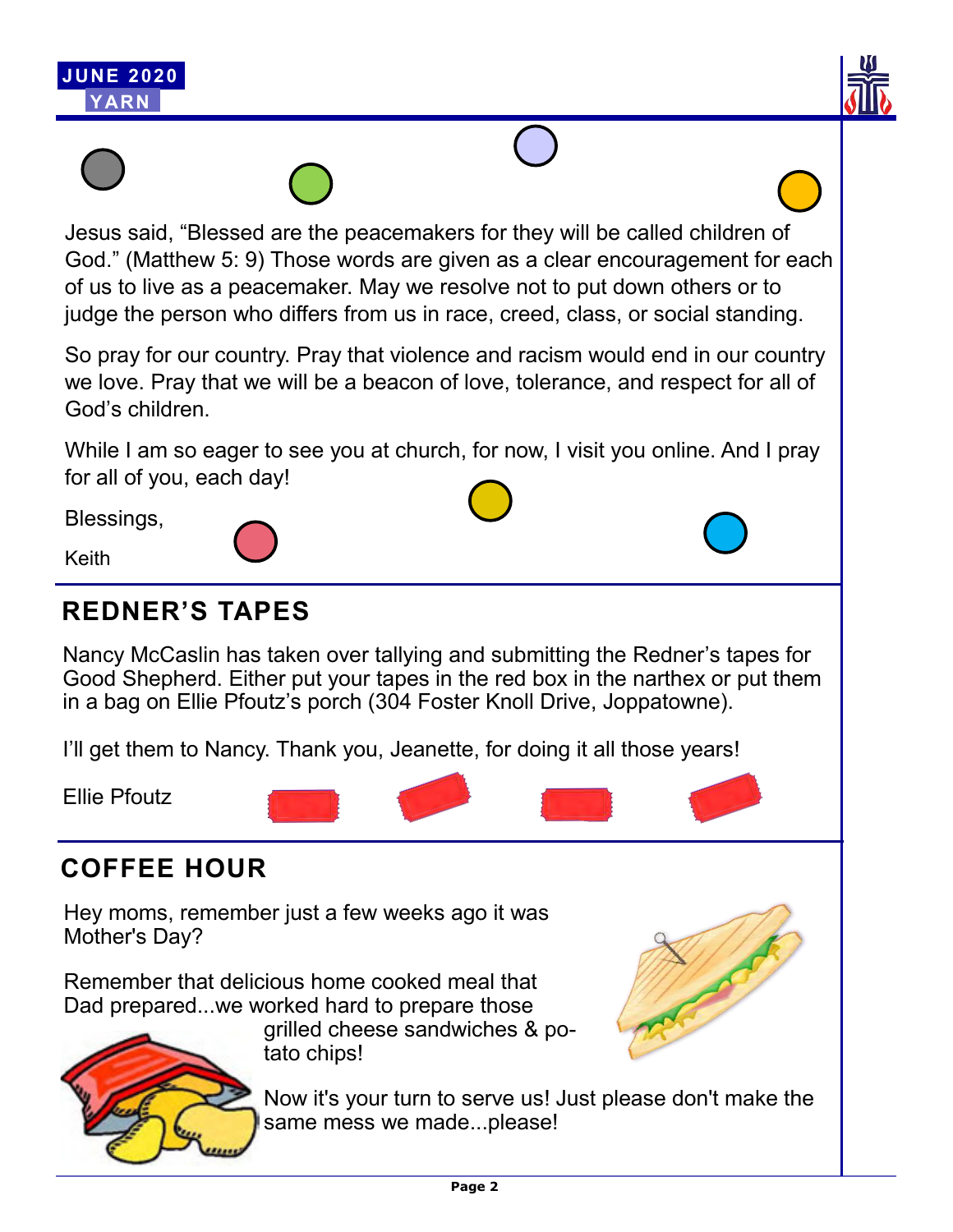



Jesus said, "Blessed are the peacemakers for they will be called children of God." (Matthew 5: 9) Those words are given as a clear encouragement for each of us to live as a peacemaker. May we resolve not to put down others or to judge the person who differs from us in race, creed, class, or social standing.

So pray for our country. Pray that violence and racism would end in our country we love. Pray that we will be a beacon of love, tolerance, and respect for all of God's children.

While I am so eager to see you at church, for now, I visit you online. And I pray for all of you, each day!

Blessings,

Keith

# **REDNER'S TAPES**

Nancy McCaslin has taken over tallying and submitting the Redner's tapes for Good Shepherd. Either put your tapes in the red box in the narthex or put them in a bag on Ellie Pfoutz's porch (304 Foster Knoll Drive, Joppatowne).

I'll get them to Nancy. Thank you, Jeanette, for doing it all those years!

Ellie Pfoutz

# **COFFEE HOUR**

Hey moms, remember just a few weeks ago it was Mother's Day?

Remember that delicious home cooked meal that Dad prepared...we worked hard to prepare those



grilled cheese sandwiches & potato chips!

Now it's your turn to serve us! Just please don't make the same mess we made...please!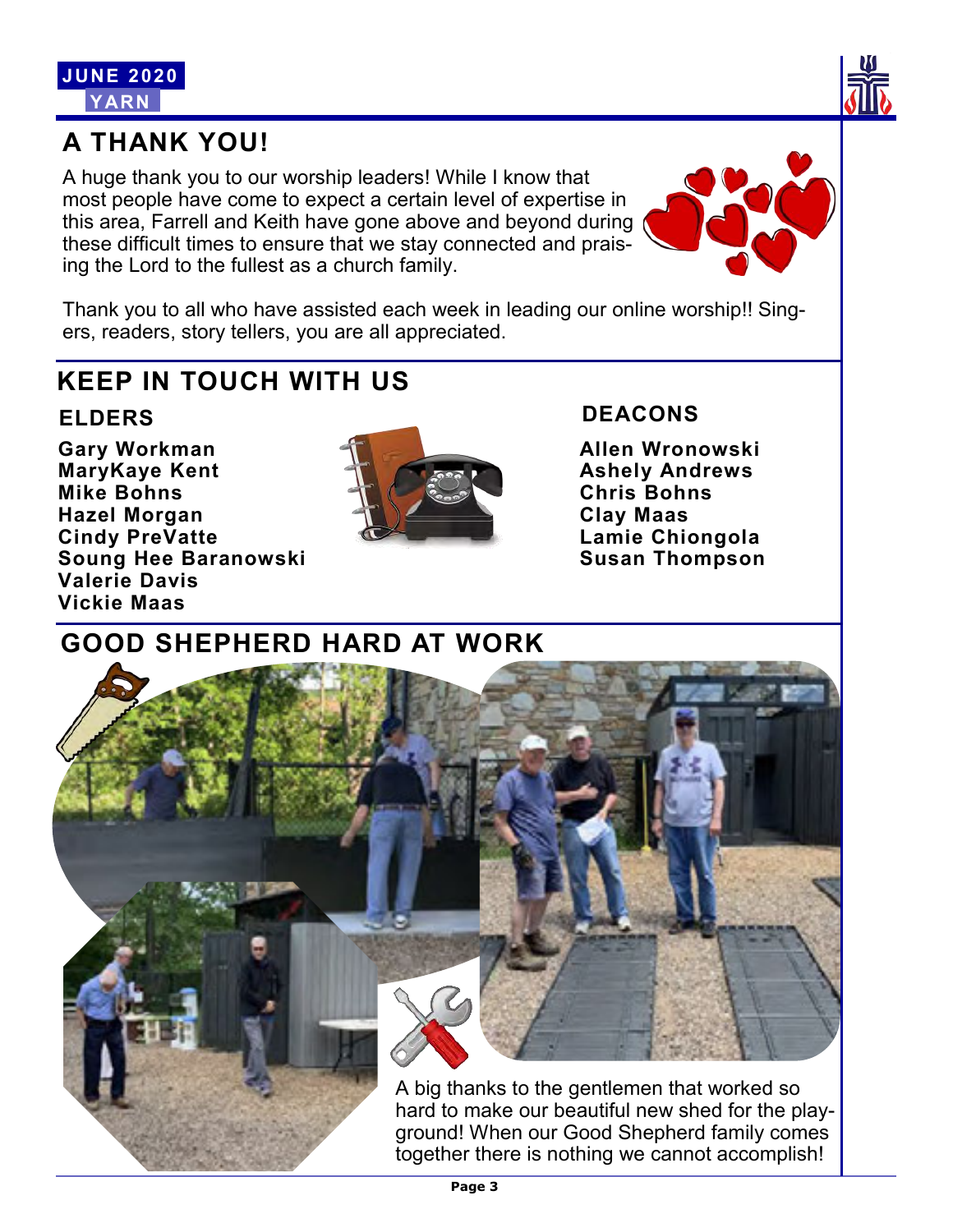

# **A THANK YOU!**

A huge thank you to our worship leaders! While I know that most people have come to expect a certain level of expertise in this area, Farrell and Keith have gone above and beyond during these difficult times to ensure that we stay connected and praising the Lord to the fullest as a church family.



Thank you to all who have assisted each week in leading our online worship!! Singers, readers, story tellers, you are all appreciated.

# **KEEP IN TOUCH WITH US**

## **ELDERS**

**Gary Workman MaryKaye Kent Mike Bohns Hazel Morgan Cindy PreVatte Soung Hee Baranowski Valerie Davis Vickie Maas**



## **DEACONS**

**Allen Wronowski Ashely Andrews Chris Bohns Clay Maas Lamie Chiongola Susan Thompson**

# **GOOD SHEPHERD HARD AT WORK**

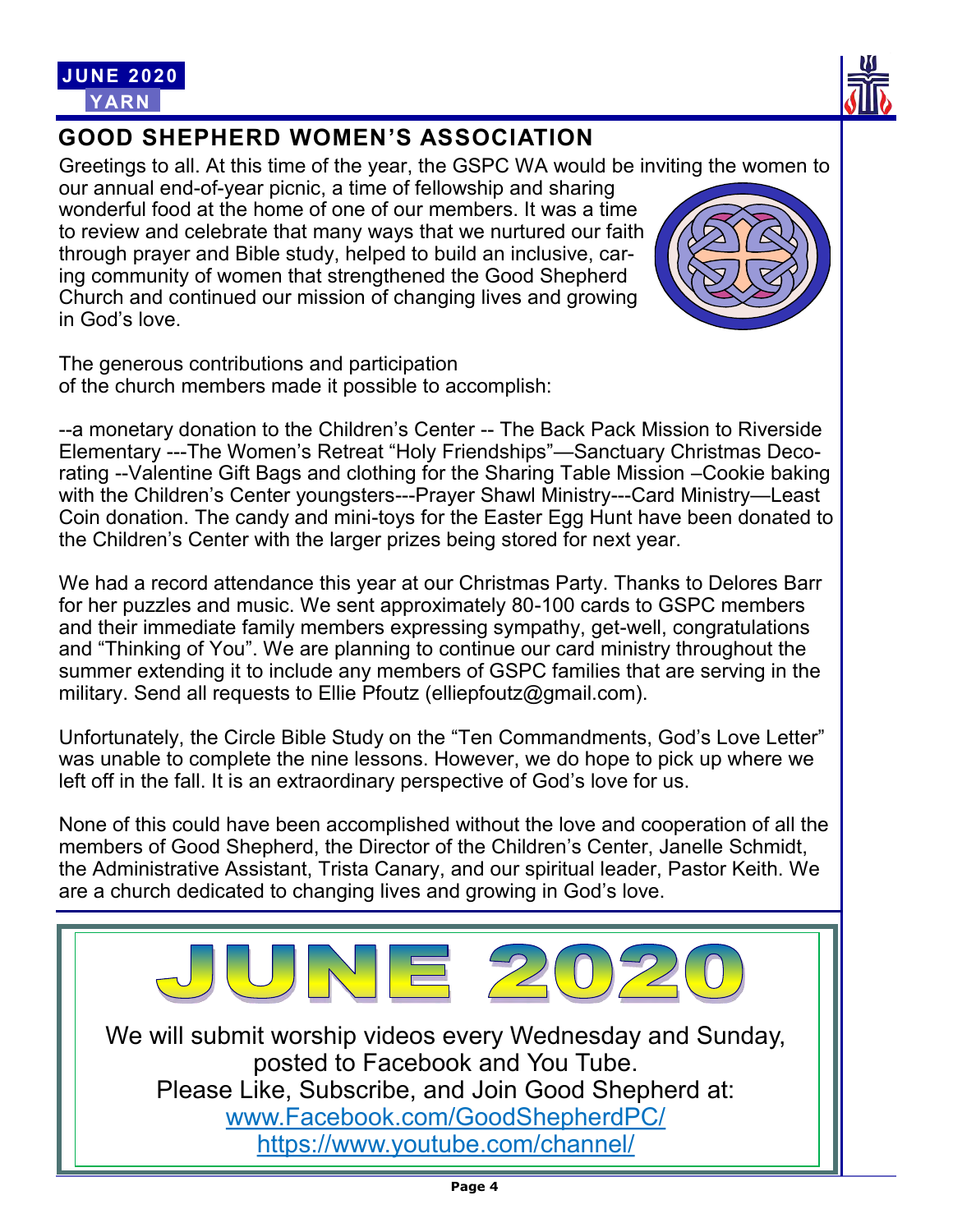

# **GOOD SHEPHERD WOMEN'S ASSOCIATION**

Greetings to all. At this time of the year, the GSPC WA would be inviting the women to our annual end-of-year picnic, a time of fellowship and sharing wonderful food at the home of one of our members. It was a time to review and celebrate that many ways that we nurtured our faith through prayer and Bible study, helped to build an inclusive, caring community of women that strengthened the Good Shepherd Church and continued our mission of changing lives and growing in God's love.

The generous contributions and participation of the church members made it possible to accomplish:

--a monetary donation to the Children's Center -- The Back Pack Mission to Riverside Elementary ---The Women's Retreat "Holy Friendships"—Sanctuary Christmas Decorating --Valentine Gift Bags and clothing for the Sharing Table Mission –Cookie baking with the Children's Center youngsters---Prayer Shawl Ministry---Card Ministry—Least Coin donation. The candy and mini-toys for the Easter Egg Hunt have been donated to the Children's Center with the larger prizes being stored for next year.

We had a record attendance this year at our Christmas Party. Thanks to Delores Barr for her puzzles and music. We sent approximately 80-100 cards to GSPC members and their immediate family members expressing sympathy, get-well, congratulations and "Thinking of You". We are planning to continue our card ministry throughout the summer extending it to include any members of GSPC families that are serving in the military. Send all requests to Ellie Pfoutz (elliepfoutz@gmail.com).

Unfortunately, the Circle Bible Study on the "Ten Commandments, God's Love Letter" was unable to complete the nine lessons. However, we do hope to pick up where we left off in the fall. It is an extraordinary perspective of God's love for us.

None of this could have been accomplished without the love and cooperation of all the members of Good Shepherd, the Director of the Children's Center, Janelle Schmidt, the Administrative Assistant, Trista Canary, and our spiritual leader, Pastor Keith. We are a church dedicated to changing lives and growing in God's love.

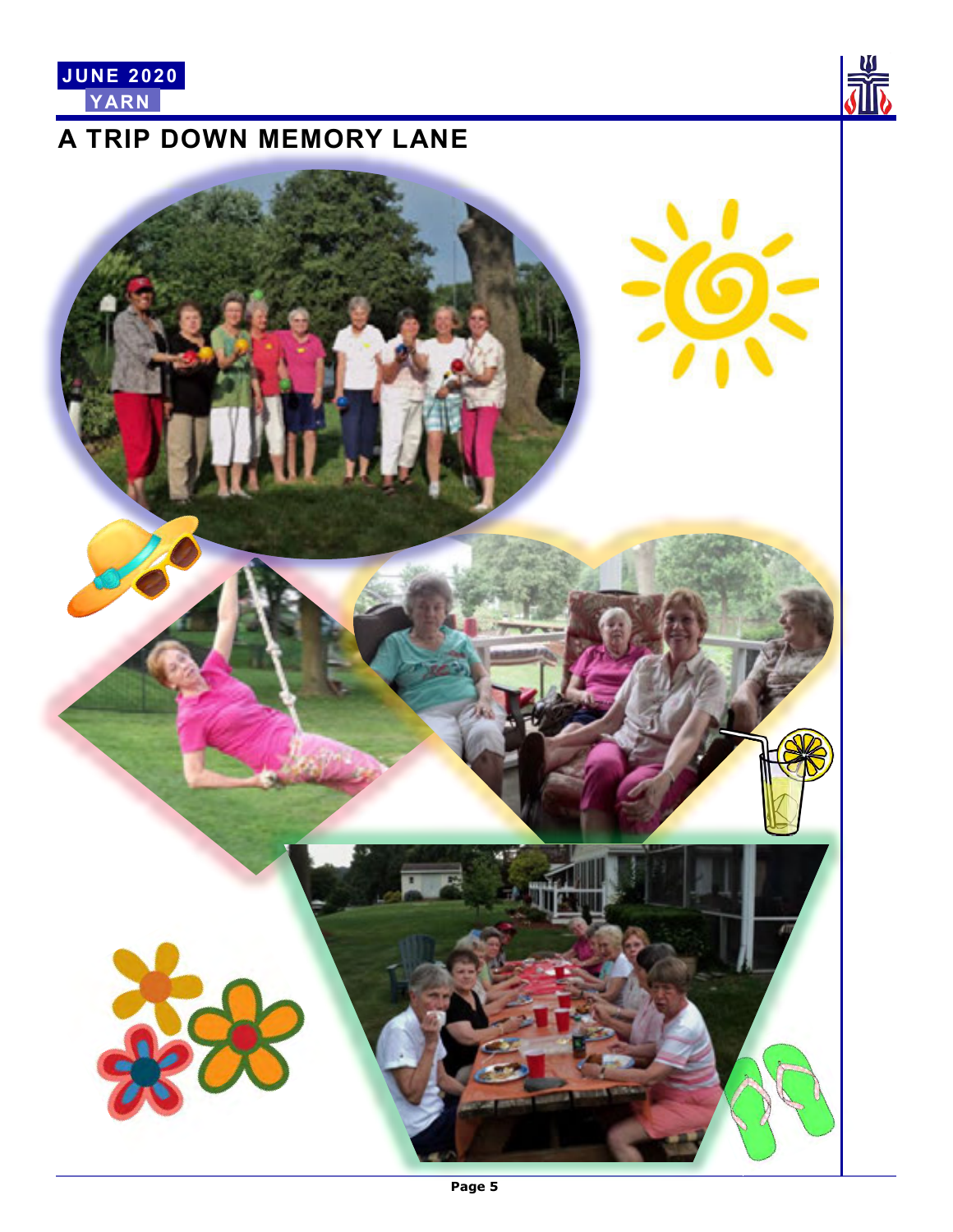

# **A TRIP DOWN MEMORY LANE**